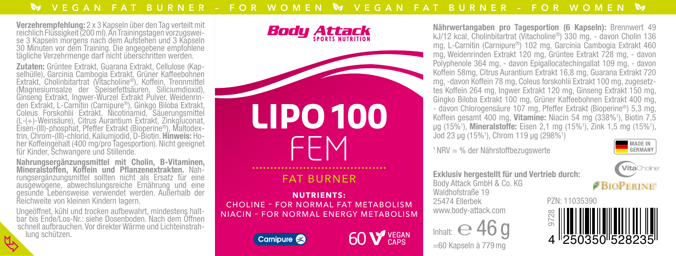**Verzehrempfehlung:** 2 x 3 Kapseln über den Tag verteilt mit<br>reichlich Flüssigkeit (200 ml). An Trainingstagen vorzugswei-<br>se 3 Kapseln morgens nach dem Aufstehen und 3 Kapseln<br>30 Minuten vor dem Training. Die angegebene e tägliche Verzehrmenge darf nicht überschritten werden.

**Zutaten:** Grüntee Extrakt, Guarana Extrakt, Cellulose (Kap-<br>selhülle), Garcinia Cambogia Extrakt, Grüner Kaffeebohnen<br>Extrakt, Cholinbitartrat (Vitacholine®), Koffein, Trennmittel (Magnesiumsalze der Speisefettsäuren, Siliciumdioxid), Ginseng Extrakt, Ingwer-Wurzel Extrakt Pulver, Weidenrinden Extrakt, L-Carnitin (Carnipure®), Ginkgo Biloba Extrakt, Coleus Forskohlii Extrakt, Coleus Forskohlii Extrakt, Nicotinamid, Säuerungsmittel (L-(+)-Weinsäure), Citrus Aurantium Extrakt, Zinkgluconat, Eisen-(III)-phosphat, Pfeffer Extrakt (Bioperine®), Maltodex- trin, Chrom-(III)-chlorid, Kaliumjodid, D-Biotin. Hinweis: Ho- her Koffeingehalt (400 mg/pro Tagesportion). Nicht geeignet für Kinder, Schwangere und Stillende.

Nahrungsergänzungsmittel mit Cholin, B-Vitaminen, rungsergänzungsmittel sollten nicht als Ersatz für eine ausgewogene, abwechslungsreiche Ernährung und eine gesunde Lebensweise verwendet werden. Außerhalb der Reichweite von kleinen Kindern lagern.

Ungeöffnet, kühl und trocken aufbewahrt, mindestens halt- bar bis Ende/Los-Nr.: siehe Dosenboden. Nach dem Öffnen schnell aufbrauchen. Vor direkter Wärme und Lichteinstrah- lung schützen.





NIACIN – FOR NORMAL ENERGY METABOLISM





Nährwertangaben pro Tagesportion (6 Kapseln): Brennwert 49 kJ/12 kcal, Cholinbitartrat (Vitacholine®) 330 mg, - davon Cholin 136 mg, L-Carnitin (Carnipure®) 102 mg, Garcinia Cambogia Extrakt 460 mg, Weidenrinden Extrakt 120 mg, Grüntee Extrakt 728 mg, - davon Polyphenole 364 mg, - davon Epigallocatechingallat 109 mg, - davon Koffein 58mg, Citrus Aurantium Extrakt 16,8 mg, Guarana Extrakt 720 mg, -davon Koffein 78 mg, Coleus forskohlii Extrakt 100 mg, zugesetztes Koffein 264 mg, Ingwer Extrakt 120 mg, Ginseng Extrakt 150 mg, Gingko Biloba Extrakt 100 mg, Grüner Kaffeebohnen Extrakt 400 mg, - davon Chlorogensäure 107 mg, Pfeffer Extrakt (Bioperine®) 5,3 mg, Koffein gesamt 400 mg, Vitamine: Niacin 54 mg (338%<sup>1</sup>), Biotin 7,5 µg (15%1 ), Mineralstoffe: Eisen 2,1 mg (15%1 ), Zink 1,5 mg (15%1 ), Jod 23 µg (15%<sup>1</sup>), Chrom 119 µg (298%<sup>1</sup>)

 $1$  NRV = % der Nährstoffbezugswerte

=60 Kapseln à 779mg Inhalt:  $e^{46}$ 





Exklusiv hergestellt für und Vertrieb durch: Body Attack GmbH & Co. KG Waldhofstraße 19 25474 Ellerbek www.body-attack.com PZN: 11035390